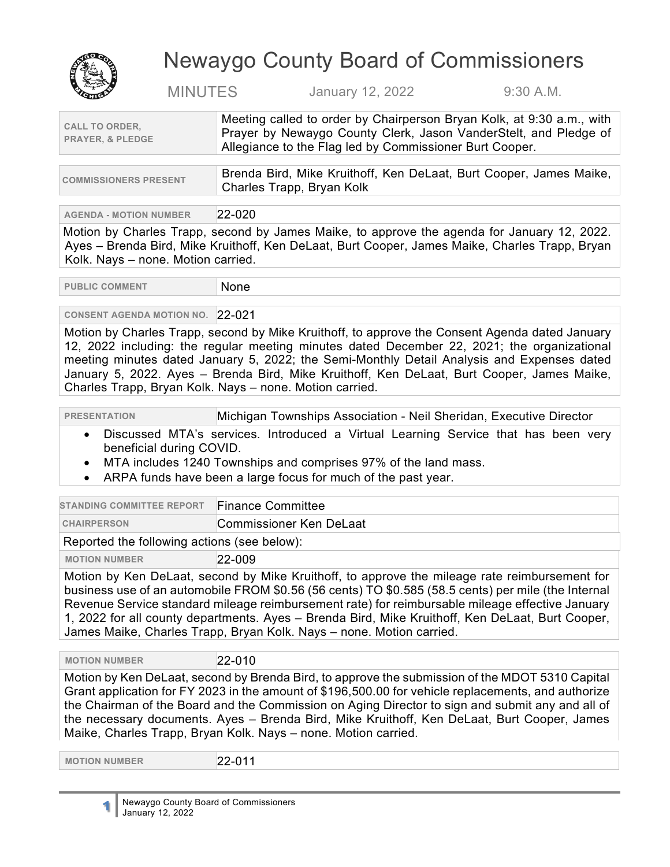

## Newaygo County Board of Commissioners

MINUTES January 12, 2022 9:30 A.M.

| <b>CALL TO ORDER.</b><br><b>PRAYER, &amp; PLEDGE</b> | Meeting called to order by Chairperson Bryan Kolk, at 9:30 a.m., with<br>Prayer by Newaygo County Clerk, Jason VanderStelt, and Pledge of<br>Allegiance to the Flag led by Commissioner Burt Cooper. |
|------------------------------------------------------|------------------------------------------------------------------------------------------------------------------------------------------------------------------------------------------------------|
|                                                      |                                                                                                                                                                                                      |

| <b>COMMISSIONERS PRESENT</b> | ∆ Brenda Bird, Mike Kruithoff, Ken DeLaat, Burt Cooper, James Maike, |
|------------------------------|----------------------------------------------------------------------|
|                              | Charles Trapp, Bryan Kolk                                            |

## **AGENDA - MOTION NUMBER** 22-020

Motion by Charles Trapp, second by James Maike, to approve the agenda for January 12, 2022. Ayes – Brenda Bird, Mike Kruithoff, Ken DeLaat, Burt Cooper, James Maike, Charles Trapp, Bryan Kolk. Nays – none. Motion carried.

**PUBLIC COMMENT NONE** 

## **CONSENT AGENDA MOTION NO.** 22-021

Motion by Charles Trapp, second by Mike Kruithoff, to approve the Consent Agenda dated January 12, 2022 including: the regular meeting minutes dated December 22, 2021; the organizational meeting minutes dated January 5, 2022; the Semi-Monthly Detail Analysis and Expenses dated January 5, 2022. Ayes – Brenda Bird, Mike Kruithoff, Ken DeLaat, Burt Cooper, James Maike, Charles Trapp, Bryan Kolk. Nays – none. Motion carried.

**PRESENTATION** Michigan Townships Association - Neil Sheridan, Executive Director

- Discussed MTA's services. Introduced a Virtual Learning Service that has been very beneficial during COVID.
- MTA includes 1240 Townships and comprises 97% of the land mass.
- ARPA funds have been a large focus for much of the past year.

| <b>STANDING COMMITTEE REPORT</b>                                                              | <b>Finance Committee</b> |
|-----------------------------------------------------------------------------------------------|--------------------------|
| <b>CHAIRPERSON</b>                                                                            | Commissioner Ken DeLaat  |
| Reported the following actions (see below):                                                   |                          |
| <b>MOTION NUMBER</b>                                                                          | $22 - 009$               |
| Motion by Ken Del 22t, second by Mike Kruithoff to approve the mileage rate reimburgement for |                          |

Motion by Ken DeLaat, second by Mike Kruithoff, to approve the mileage rate reimbursement for business use of an automobile FROM \$0.56 (56 cents) TO \$0.585 (58.5 cents) per mile (the Internal Revenue Service standard mileage reimbursement rate) for reimbursable mileage effective January 1, 2022 for all county departments. Ayes – Brenda Bird, Mike Kruithoff, Ken DeLaat, Burt Cooper, James Maike, Charles Trapp, Bryan Kolk. Nays – none. Motion carried.

 **MOTION NUMBER** 22-010

Motion by Ken DeLaat, second by Brenda Bird, to approve the submission of the MDOT 5310 Capital Grant application for FY 2023 in the amount of \$196,500.00 for vehicle replacements, and authorize the Chairman of the Board and the Commission on Aging Director to sign and submit any and all of the necessary documents. Ayes – Brenda Bird, Mike Kruithoff, Ken DeLaat, Burt Cooper, James Maike, Charles Trapp, Bryan Kolk. Nays – none. Motion carried.

 **MOTION NUMBER** 22-011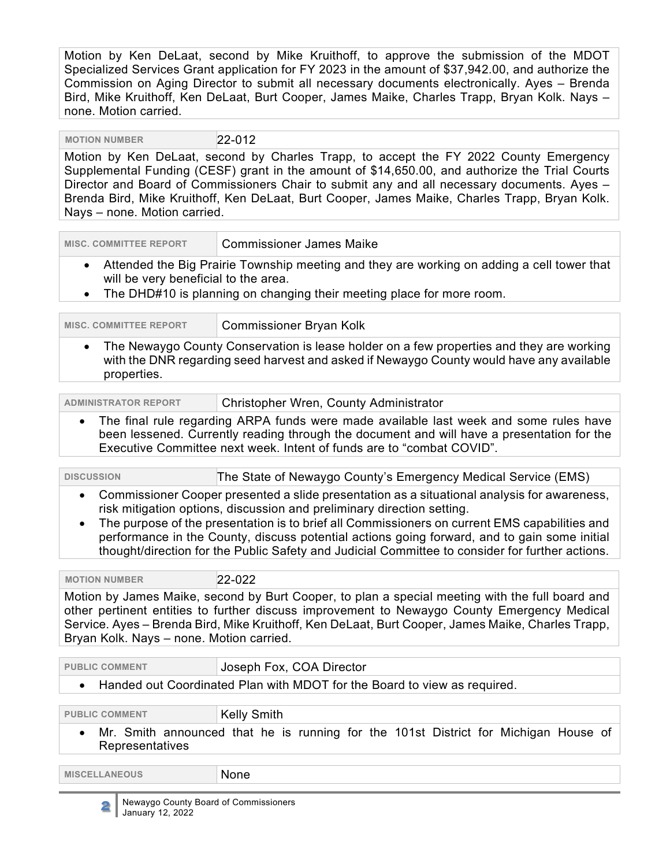Motion by Ken DeLaat, second by Mike Kruithoff, to approve the submission of the MDOT Specialized Services Grant application for FY 2023 in the amount of \$37,942.00, and authorize the Commission on Aging Director to submit all necessary documents electronically. Ayes – Brenda Bird, Mike Kruithoff, Ken DeLaat, Burt Cooper, James Maike, Charles Trapp, Bryan Kolk. Nays – none. Motion carried.

 **MOTION NUMBER** 22-012

Motion by Ken DeLaat, second by Charles Trapp, to accept the FY 2022 County Emergency Supplemental Funding (CESF) grant in the amount of \$14,650.00, and authorize the Trial Courts Director and Board of Commissioners Chair to submit any and all necessary documents. Ayes – Brenda Bird, Mike Kruithoff, Ken DeLaat, Burt Cooper, James Maike, Charles Trapp, Bryan Kolk. Nays – none. Motion carried.

| <b>MISC. COMMITTEE REPORT</b>                                                                                                      | <b>Commissioner James Maike</b>                                       |
|------------------------------------------------------------------------------------------------------------------------------------|-----------------------------------------------------------------------|
| Attended the Big Prairie Township meeting and they are working on adding a cell tower that<br>will be very beneficial to the area. |                                                                       |
|                                                                                                                                    | The DUD440 is planning an ebenging their meeting place for means ream |

• The DHD#10 is planning on changing their meeting place for more room.

| <b>MISC. COMMITTEE REPORT</b> | <b>Commissioner Bryan Kolk</b>                                                                                                                                                       |
|-------------------------------|--------------------------------------------------------------------------------------------------------------------------------------------------------------------------------------|
| properties.                   | The Newaygo County Conservation is lease holder on a few properties and they are working<br>with the DNR regarding seed harvest and asked if Newaygo County would have any available |

| <b>ADMINISTRATOR REPORT</b> | Christopher Wren, County Administrator |
|-----------------------------|----------------------------------------|
|                             | .                                      |

• The final rule regarding ARPA funds were made available last week and some rules have been lessened. Currently reading through the document and will have a presentation for the Executive Committee next week. Intent of funds are to "combat COVID".

| <b>DISCUSSION</b>                                                                                                                                                                                                                                                                                                                                                                                                                                                                                   | The State of Newaygo County's Emergency Medical Service (EMS)                                             |
|-----------------------------------------------------------------------------------------------------------------------------------------------------------------------------------------------------------------------------------------------------------------------------------------------------------------------------------------------------------------------------------------------------------------------------------------------------------------------------------------------------|-----------------------------------------------------------------------------------------------------------|
| Commissioner Cooper presented a slide presentation as a situational analysis for awareness,<br>$\bullet$<br>risk mitigation options, discussion and preliminary direction setting.<br>The purpose of the presentation is to brief all Commissioners on current EMS capabilities and<br>$\bullet$<br>performance in the County, discuss potential actions going forward, and to gain some initial<br>thought/direction for the Public Safety and Judicial Committee to consider for further actions. |                                                                                                           |
| <b>MOTION NUMBER</b>                                                                                                                                                                                                                                                                                                                                                                                                                                                                                | 22-022                                                                                                    |
| Motion by James Maike, second by Burt Cooper, to plan a special meeting with the full board and<br>other pertinent entities to further discuss improvement to Newaygo County Emergency Medical<br>Service. Ayes - Brenda Bird, Mike Kruithoff, Ken DeLaat, Burt Cooper, James Maike, Charles Trapp,<br>Bryan Kolk. Nays - none. Motion carried.                                                                                                                                                     |                                                                                                           |
| <b>PUBLIC COMMENT</b>                                                                                                                                                                                                                                                                                                                                                                                                                                                                               | Joseph Fox, COA Director                                                                                  |
| Handed out Coordinated Plan with MDOT for the Board to view as required.<br>$\bullet$                                                                                                                                                                                                                                                                                                                                                                                                               |                                                                                                           |
| <b>PUBLIC COMMENT</b><br>$\bullet$                                                                                                                                                                                                                                                                                                                                                                                                                                                                  | <b>Kelly Smith</b><br>Mr. Smith announced that he is running for the 101st District for Michigan House of |
| Representatives                                                                                                                                                                                                                                                                                                                                                                                                                                                                                     |                                                                                                           |
| <b>MISCELLANEOUS</b>                                                                                                                                                                                                                                                                                                                                                                                                                                                                                | None                                                                                                      |